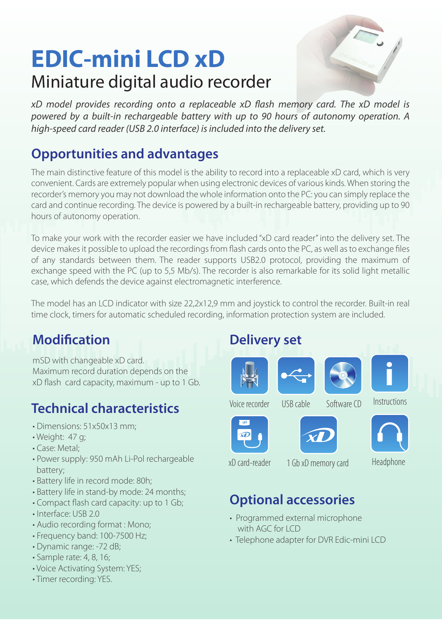## **EDIC-mini LCD xD** Miniature digital audio recorder



*xD model provides recording onto a replaceable xD flash memory card. The xD model is powered by a built-in rechargeable battery with up to 90 hours of autonomy operation. A high-speed card reader (USB 2.0 interface) is included into the delivery set.* 

#### **Opportunities and advantages**

The main distinctive feature of this model is the ability to record into a replaceable xD card, which is very convenient. Cards are extremely popular when using electronic devices of various kinds. When storing the recorder's memory you may not download the whole information onto the PC: you can simply replace the card and continue recording. The device is powered by a built-in rechargeable battery, providing up to 90 hours of autonomy operation.

To make your work with the recorder easier we have included "xD card reader" into the delivery set. The device makes it possible to upload the recordings from flash cards onto the PC, as well as to exchange files of any standards between them. The reader supports USB2.0 protocol, providing the maximum of exchange speed with the PC (up to 5,5 Mb/s). The recorder is also remarkable for its solid light metallic case, which defends the device against electromagnetic interference.

The model has an LCD indicator with size 22,2x12,9 mm and joystick to control the recorder. Built-in real time clock, timers for automatic scheduled recording, information protection system are included.

#### **Modification**

mSD with changeable xD card. Maximum record duration depends on the xD flash card capacity, maximum - up to 1 Gb.

#### **Technical characteristics**

- Dimensions: 51x50x13 mm;
- Weight: 47 g;
- Case: Metal;
- Power supply: 950 mAh Li-Pol rechargeable battery;
- Battery life in record mode: 80h;
- Battery life in stand-by mode: 24 months;
- Compact flash card capacity: up to 1 Gb;
- Interface: USB 2.0
- Audio recording format : Mono;
- Frequency band: 100-7500 Hz;
- Dynamic range: -72 dB;
- Sample rate: 4, 8, 16;
- Voice Activating System: YES;
- Timer recording: YES.

#### **Delivery set**



















Voice recorder USB cable Software CD Instructions







xD card-reader 1 Gb xD memory card Headphone

### **Optional accessories**

- Programmed external microphone with AGC for LCD
- Telephone adapter for DVR Edic-mini LCD